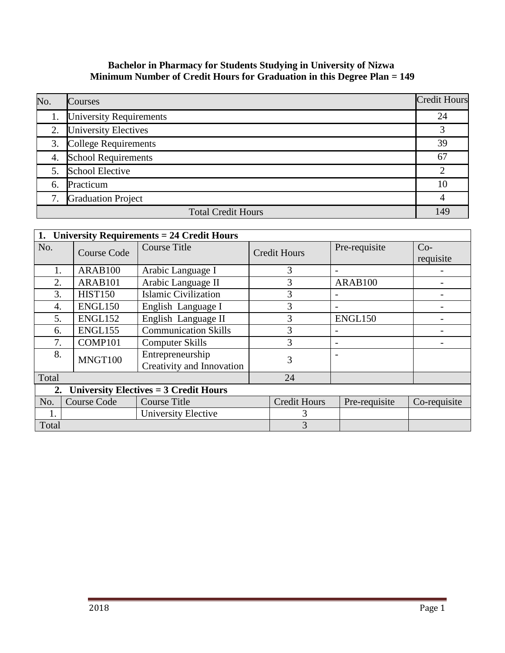## **Bachelor in Pharmacy for Students Studying in University of Nizwa Minimum Number of Credit Hours for Graduation in this Degree Plan = 149**

| No. | <b>Courses</b>             | <b>Credit Hours</b> |
|-----|----------------------------|---------------------|
|     | 1. University Requirements | 24                  |
|     | 2. University Electives    | 3                   |
|     | 3. College Requirements    | 39                  |
|     | 4. School Requirements     | 67                  |
|     | 5. School Elective         | $\overline{2}$      |
| 6.  | Practicum                  | 10                  |
|     | 7. Graduation Project      |                     |
|     | <b>Total Credit Hours</b>  | 149                 |

| 1.                                         | <b>University Requirements = 24 Credit Hours</b> |                                               |                     |                          |               |                    |  |
|--------------------------------------------|--------------------------------------------------|-----------------------------------------------|---------------------|--------------------------|---------------|--------------------|--|
| No.                                        | <b>Course Code</b>                               | <b>Course Title</b>                           | <b>Credit Hours</b> |                          | Pre-requisite | $Co-$<br>requisite |  |
| 1.                                         | ARAB100                                          | Arabic Language I                             | 3                   |                          |               |                    |  |
| 2.                                         | ARAB101                                          | Arabic Language II                            | 3                   |                          | ARAB100       |                    |  |
| 3.                                         | <b>HIST150</b>                                   | <b>Islamic Civilization</b>                   | 3                   |                          |               |                    |  |
| 4.                                         | ENGL150                                          | English Language I                            | 3                   |                          |               |                    |  |
| 5.                                         | ENGL152                                          | English Language II                           | 3                   |                          | ENGL150       |                    |  |
| 6.                                         | ENGL155                                          | <b>Communication Skills</b>                   | 3                   |                          |               |                    |  |
| 7.                                         | COMP101                                          | <b>Computer Skills</b>                        | 3                   | $\overline{\phantom{a}}$ |               |                    |  |
| 8.                                         | MNGT100                                          | Entrepreneurship<br>Creativity and Innovation | 3                   |                          |               |                    |  |
| Total                                      |                                                  |                                               | 24                  |                          |               |                    |  |
| 2. University Electives $=$ 3 Credit Hours |                                                  |                                               |                     |                          |               |                    |  |
| No.                                        | <b>Course Code</b>                               | <b>Course Title</b>                           | <b>Credit Hours</b> |                          | Pre-requisite | Co-requisite       |  |
|                                            |                                                  | University Elective                           | 3                   |                          |               |                    |  |
| Total                                      |                                                  |                                               | 3                   |                          |               |                    |  |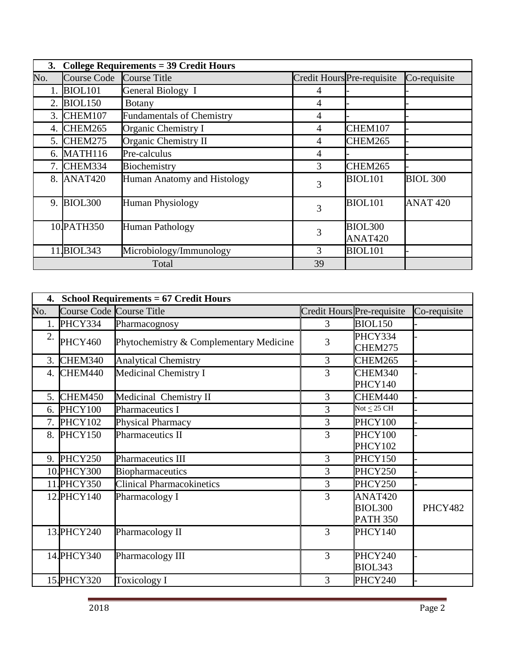| 3.  | College Requirements = $39$ Credit Hours |                                  |                            |                           |                     |  |  |
|-----|------------------------------------------|----------------------------------|----------------------------|---------------------------|---------------------|--|--|
| No. | Course Code Course Title                 |                                  | Credit Hours Pre-requisite |                           | Co-requisite        |  |  |
|     | BIOL <sub>101</sub>                      | General Biology I                | 4                          |                           |                     |  |  |
|     | 2. BIOL150                               | <b>Botany</b>                    | 4                          |                           |                     |  |  |
| 3.  | CHEM107                                  | <b>Fundamentals of Chemistry</b> | $\overline{4}$             |                           |                     |  |  |
| 4.  | CHEM265                                  | Organic Chemistry I              | 4                          | CHEM107                   |                     |  |  |
| 5.  | CHEM275                                  | Organic Chemistry II             | $\overline{4}$             | CHEM265                   |                     |  |  |
| 6.  | MATH116                                  | Pre-calculus                     | 4                          |                           |                     |  |  |
| 7.  | CHEM334                                  | Biochemistry                     | 3                          | CHEM265                   |                     |  |  |
|     | 8. ANAT420                               | Human Anatomy and Histology      | 3                          | <b>BIOL101</b>            | <b>BIOL 300</b>     |  |  |
|     | 9. BIOL300                               | <b>Human Physiology</b>          | 3                          | <b>BIOL101</b>            | ANAT <sub>420</sub> |  |  |
|     | 10.PATH350                               | <b>Human Pathology</b>           | 3                          | <b>BIOL300</b><br>ANAT420 |                     |  |  |
|     | 11.BIOL343                               | Microbiology/Immunology          | 3                          | <b>BIOL101</b>            |                     |  |  |
|     |                                          | Total                            | 39                         |                           |                     |  |  |

|     | 4. School Requirements = 67 Credit Hours |                                         |                            |                                                          |              |  |  |
|-----|------------------------------------------|-----------------------------------------|----------------------------|----------------------------------------------------------|--------------|--|--|
| No. | Course Code Course Title                 |                                         | Credit Hours Pre-requisite |                                                          | Co-requisite |  |  |
| 1.  | PHCY334                                  | Pharmacognosy                           | 3                          | BIOL150                                                  |              |  |  |
| 2.  | PHCY460                                  | Phytochemistry & Complementary Medicine | 3                          | PHCY334<br>CHEM275                                       |              |  |  |
| 3.  | CHEM340                                  | <b>Analytical Chemistry</b>             | $\overline{3}$             | CHEM265                                                  |              |  |  |
|     | 4. CHEM440                               | Medicinal Chemistry I                   | 3                          | CHEM340<br>PHCY140                                       |              |  |  |
|     | 5. CHEM450                               | Medicinal Chemistry II                  | 3                          | CHEM440                                                  |              |  |  |
|     | 6. PHCY100                               | Pharmaceutics I                         | 3                          | Not $\leq$ 25 CH                                         |              |  |  |
|     | 7. PHCY102                               | Physical Pharmacy                       | 3                          | PHCY100                                                  |              |  |  |
|     | 8. PHCY150                               | Pharmaceutics II                        | 3                          | PHCY100<br><b>PHCY102</b>                                |              |  |  |
|     | 9. PHCY250                               | <b>Pharmaceutics III</b>                | 3                          | PHCY150                                                  |              |  |  |
|     | 10. PHCY300                              | Biopharmaceutics                        | 3                          | PHCY250                                                  |              |  |  |
|     | 11. PHCY350                              | <b>Clinical Pharmacokinetics</b>        | 3                          | PHCY250                                                  |              |  |  |
|     | 12. PHCY 140                             | Pharmacology I                          | 3                          | ANAT <sub>420</sub><br><b>BIOL300</b><br><b>PATH 350</b> | PHCY482      |  |  |
|     | 13. PHCY240                              | Pharmacology II                         | 3                          | PHCY140                                                  |              |  |  |
|     | 14. PHCY340                              | Pharmacology III                        | 3                          | PHCY240<br>BIOL343                                       |              |  |  |
|     | 15. PHCY320                              | <b>Toxicology I</b>                     | 3                          | PHCY240                                                  |              |  |  |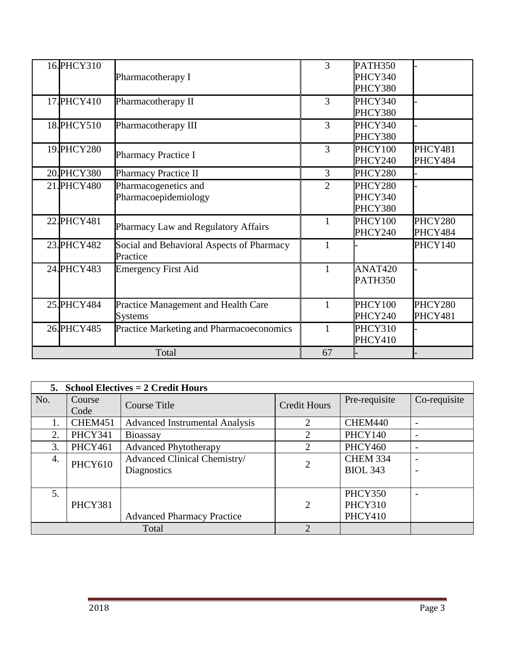| 16. PHCY310 | Pharmacotherapy I                                     | 3              | <b>PATH350</b><br>PHCY340<br>PHCY380 |                    |
|-------------|-------------------------------------------------------|----------------|--------------------------------------|--------------------|
| 17. PHCY410 | Pharmacotherapy II                                    | 3              | PHCY340<br>PHCY380                   |                    |
| 18. PHCY510 | Pharmacotherapy III                                   | 3              | PHCY340<br>PHCY380                   |                    |
| 19. PHCY280 | <b>Pharmacy Practice I</b>                            | 3              | PHCY100<br>PHCY240                   | PHCY481<br>PHCY484 |
| 20. PHCY380 | <b>Pharmacy Practice II</b>                           | $\overline{3}$ | PHCY280                              |                    |
| 21. PHCY480 | Pharmacogenetics and<br>Pharmacoepidemiology          | $\overline{2}$ | PHCY280<br>PHCY340<br>PHCY380        |                    |
| 22. PHCY481 | Pharmacy Law and Regulatory Affairs                   | 1              | PHCY100<br>PHCY240                   | PHCY280<br>PHCY484 |
| 23. PHCY482 | Social and Behavioral Aspects of Pharmacy<br>Practice | 1              |                                      | PHCY140            |
| 24. PHCY483 | <b>Emergency First Aid</b>                            | 1              | ANAT420<br><b>PATH350</b>            |                    |
| 25. PHCY484 | Practice Management and Health Care<br><b>Systems</b> |                | PHCY100<br>PHCY240                   | PHCY280<br>PHCY481 |
| 26. PHCY485 | Practice Marketing and Pharmacoeconomics              |                | PHCY310<br>PHCY410                   |                    |
|             | Total                                                 | 67             |                                      |                    |

|     | 5. School Electives $= 2$ Credit Hours |                                             |                     |                                    |                          |  |  |
|-----|----------------------------------------|---------------------------------------------|---------------------|------------------------------------|--------------------------|--|--|
| No. | Course<br>Code                         | Course Title                                | <b>Credit Hours</b> | Pre-requisite                      | Co-requisite             |  |  |
| 1.  | CHEM451                                | <b>Advanced Instrumental Analysis</b>       | $\overline{2}$      | CHEM440                            | $\overline{\phantom{a}}$ |  |  |
| 2.  | PHCY341                                | <b>Bioassay</b>                             | $\overline{2}$      | <b>PHCY140</b>                     | $\overline{\phantom{a}}$ |  |  |
| 3.  | PHCY461                                | <b>Advanced Phytotherapy</b>                | 2                   | <b>PHCY460</b>                     |                          |  |  |
| 4.  | PHCY610                                | Advanced Clinical Chemistry/<br>Diagnostics | $\overline{2}$      | <b>CHEM 334</b><br><b>BIOL 343</b> |                          |  |  |
| 5.  | PHCY381                                | <b>Advanced Pharmacy Practice</b>           | 2                   | PHCY350<br>PHCY310<br>PHCY410      |                          |  |  |
|     |                                        | Total                                       | 2                   |                                    |                          |  |  |